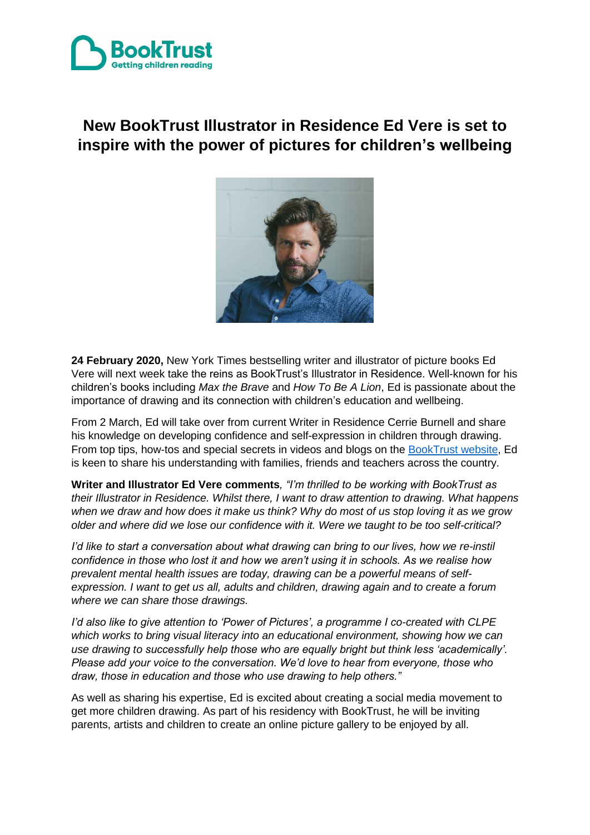

# **New BookTrust Illustrator in Residence Ed Vere is set to inspire with the power of pictures for children's wellbeing**



**24 February 2020,** New York Times bestselling writer and illustrator of picture books Ed Vere will next week take the reins as BookTrust's Illustrator in Residence. Well-known for his children's books including *Max the Brave* and *How To Be A Lion*, Ed is passionate about the importance of drawing and its connection with children's education and wellbeing.

From 2 March, Ed will take over from current Writer in Residence Cerrie Burnell and share his knowledge on developing confidence and self-expression in children through drawing. From top tips, how-tos and special secrets in videos and blogs on the **BookTrust website**, Ed is keen to share his understanding with families, friends and teachers across the country.

**Writer and Illustrator Ed Vere comments***, "I'm thrilled to be working with BookTrust as their Illustrator in Residence. Whilst there, I want to draw attention to drawing. What happens when we draw and how does it make us think? Why do most of us stop loving it as we grow older and where did we lose our confidence with it. Were we taught to be too self-critical?*

*I'd like to start a conversation about what drawing can bring to our lives, how we re-instil confidence in those who lost it and how we aren't using it in schools. As we realise how prevalent mental health issues are today, drawing can be a powerful means of selfexpression. I want to get us all, adults and children, drawing again and to create a forum where we can share those drawings.* 

*I'd also like to give attention to 'Power of Pictures', a programme I co-created with CLPE which works to bring visual literacy into an educational environment, showing how we can use drawing to successfully help those who are equally bright but think less 'academically'. Please add your voice to the conversation. We'd love to hear from everyone, those who draw, those in education and those who use drawing to help others."*

As well as sharing his expertise, Ed is excited about creating a social media movement to get more children drawing. As part of his residency with BookTrust, he will be inviting parents, artists and children to create an online picture gallery to be enjoyed by all.